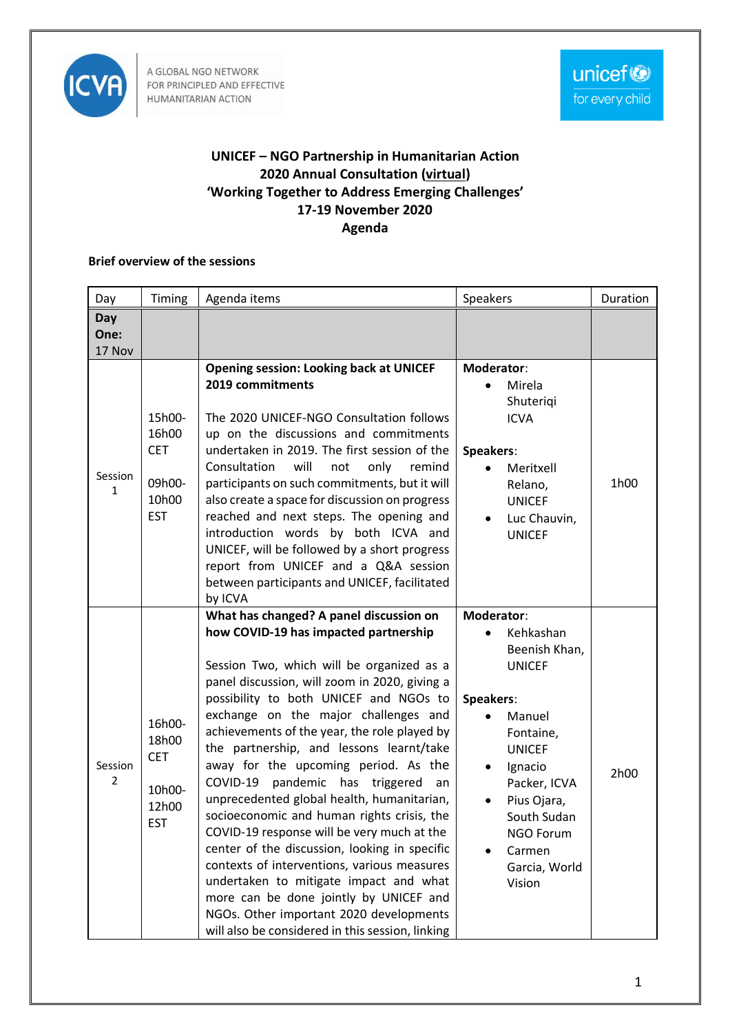

A GLOBAL NGO NETWORK FOR PRINCIPLED AND EFFECTIVE HUMANITARIAN ACTION

## **UNICEF – NGO Partnership in Humanitarian Action 2020 Annual Consultation (virtual) 'Working Together to Address Emerging Challenges' 17-19 November 2020 Agenda**

## **Brief overview of the sessions**

| Day                       | Timing                                                         | Agenda items                                                                                                                                                                                                                                                                                                                                                                                                                                                                                                                                                                                                                                                                                                                                                                                                                                                                  | Speakers                                                                                                                                                                                                                                            | Duration |
|---------------------------|----------------------------------------------------------------|-------------------------------------------------------------------------------------------------------------------------------------------------------------------------------------------------------------------------------------------------------------------------------------------------------------------------------------------------------------------------------------------------------------------------------------------------------------------------------------------------------------------------------------------------------------------------------------------------------------------------------------------------------------------------------------------------------------------------------------------------------------------------------------------------------------------------------------------------------------------------------|-----------------------------------------------------------------------------------------------------------------------------------------------------------------------------------------------------------------------------------------------------|----------|
| Day<br>One:<br>17 Nov     |                                                                |                                                                                                                                                                                                                                                                                                                                                                                                                                                                                                                                                                                                                                                                                                                                                                                                                                                                               |                                                                                                                                                                                                                                                     |          |
| Session<br>$\mathbf{1}$   | 15h00-<br>16h00<br><b>CET</b><br>09h00-<br>10h00<br><b>EST</b> | <b>Opening session: Looking back at UNICEF</b><br>2019 commitments<br>The 2020 UNICEF-NGO Consultation follows<br>up on the discussions and commitments<br>undertaken in 2019. The first session of the<br>Consultation<br>will<br>only<br>not<br>remind<br>participants on such commitments, but it will<br>also create a space for discussion on progress<br>reached and next steps. The opening and<br>introduction words by both ICVA and<br>UNICEF, will be followed by a short progress<br>report from UNICEF and a Q&A session<br>between participants and UNICEF, facilitated<br>by ICVA                                                                                                                                                                                                                                                                              | Moderator:<br>Mirela<br>$\bullet$<br>Shuteriqi<br><b>ICVA</b><br>Speakers:<br>Meritxell<br>$\bullet$<br>Relano,<br><b>UNICEF</b><br>Luc Chauvin,<br>$\bullet$<br><b>UNICEF</b>                                                                      | 1h00     |
| Session<br>$\overline{2}$ | 16h00-<br>18h00<br><b>CET</b><br>10h00-<br>12h00<br><b>EST</b> | What has changed? A panel discussion on<br>how COVID-19 has impacted partnership<br>Session Two, which will be organized as a<br>panel discussion, will zoom in 2020, giving a<br>possibility to both UNICEF and NGOs to<br>exchange on the major challenges and<br>achievements of the year, the role played by<br>the partnership, and lessons learnt/take<br>away for the upcoming period. As the<br>pandemic has triggered<br>COVID-19<br>an<br>unprecedented global health, humanitarian,<br>socioeconomic and human rights crisis, the<br>COVID-19 response will be very much at the<br>center of the discussion, looking in specific<br>contexts of interventions, various measures<br>undertaken to mitigate impact and what<br>more can be done jointly by UNICEF and<br>NGOs. Other important 2020 developments<br>will also be considered in this session, linking | Moderator:<br>Kehkashan<br>Beenish Khan,<br><b>UNICEF</b><br>Speakers:<br>Manuel<br>$\bullet$<br>Fontaine,<br><b>UNICEF</b><br>Ignacio<br>$\bullet$<br>Packer, ICVA<br>Pius Ojara,<br>South Sudan<br>NGO Forum<br>Carmen<br>Garcia, World<br>Vision | 2h00     |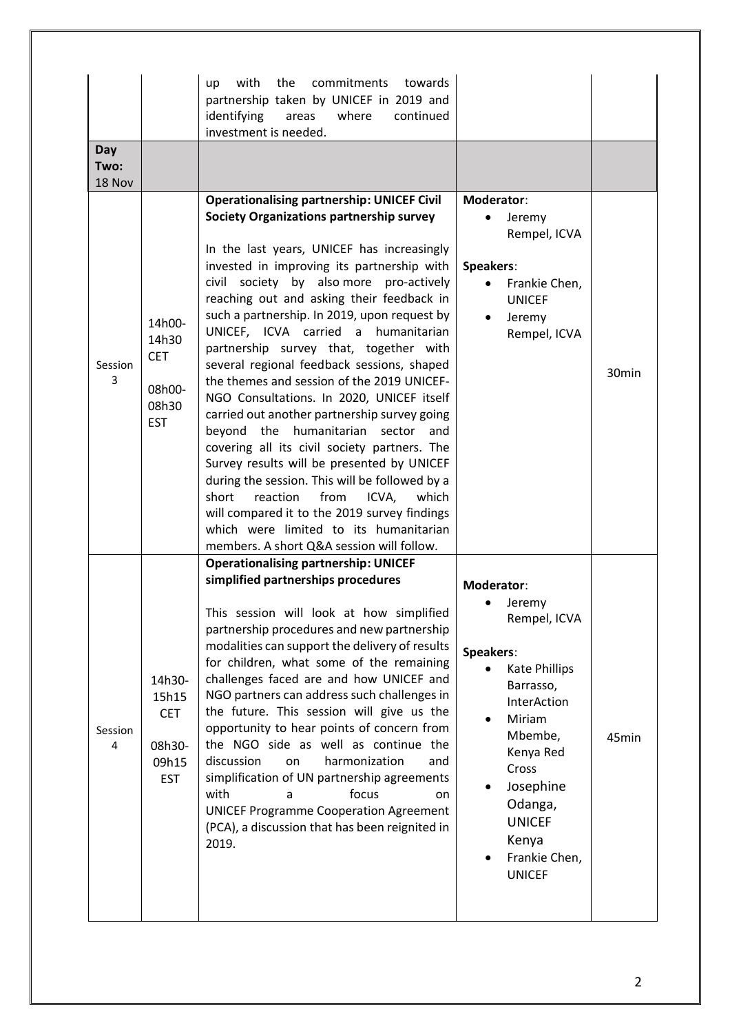| Day<br>Two:            |                                                                | the<br>commitments towards<br>with<br>up<br>partnership taken by UNICEF in 2019 and<br>identifying<br>where<br>continued<br>areas<br>investment is needed.                                                                                                                                                                                                                                                                                                                                                                                                                                                                                                                                                                                                                                                                                                                                                                                                                                        |                                                                                                                                                                                                                                                |                   |
|------------------------|----------------------------------------------------------------|---------------------------------------------------------------------------------------------------------------------------------------------------------------------------------------------------------------------------------------------------------------------------------------------------------------------------------------------------------------------------------------------------------------------------------------------------------------------------------------------------------------------------------------------------------------------------------------------------------------------------------------------------------------------------------------------------------------------------------------------------------------------------------------------------------------------------------------------------------------------------------------------------------------------------------------------------------------------------------------------------|------------------------------------------------------------------------------------------------------------------------------------------------------------------------------------------------------------------------------------------------|-------------------|
| 18 Nov<br>Session<br>3 | 14h00-<br>14h30<br><b>CET</b><br>08h00-<br>08h30<br><b>EST</b> | <b>Operationalising partnership: UNICEF Civil</b><br><b>Society Organizations partnership survey</b><br>In the last years, UNICEF has increasingly<br>invested in improving its partnership with<br>civil society by also more pro-actively<br>reaching out and asking their feedback in<br>such a partnership. In 2019, upon request by<br>UNICEF, ICVA carried a humanitarian<br>partnership survey that, together with<br>several regional feedback sessions, shaped<br>the themes and session of the 2019 UNICEF-<br>NGO Consultations. In 2020, UNICEF itself<br>carried out another partnership survey going<br>beyond the humanitarian sector<br>and<br>covering all its civil society partners. The<br>Survey results will be presented by UNICEF<br>during the session. This will be followed by a<br>reaction<br>from<br>ICVA,<br>which<br>short<br>will compared it to the 2019 survey findings<br>which were limited to its humanitarian<br>members. A short Q&A session will follow. | Moderator:<br>Jeremy<br>Rempel, ICVA<br>Speakers:<br>Frankie Chen,<br><b>UNICEF</b><br>Jeremy<br>Rempel, ICVA                                                                                                                                  | 30 <sub>min</sub> |
| Session<br>4           | 14h30-<br>15h15<br><b>CET</b><br>08h30-<br>09h15<br><b>EST</b> | <b>Operationalising partnership: UNICEF</b><br>simplified partnerships procedures<br>This session will look at how simplified<br>partnership procedures and new partnership<br>modalities can support the delivery of results<br>for children, what some of the remaining<br>challenges faced are and how UNICEF and<br>NGO partners can address such challenges in<br>the future. This session will give us the<br>opportunity to hear points of concern from<br>the NGO side as well as continue the<br>discussion<br>harmonization<br>and<br>on<br>simplification of UN partnership agreements<br>focus<br>with<br>on<br>a<br><b>UNICEF Programme Cooperation Agreement</b><br>(PCA), a discussion that has been reignited in<br>2019.                                                                                                                                                                                                                                                         | Moderator:<br>$\bullet$ Jeremy<br>Rempel, ICVA<br>Speakers:<br><b>Kate Phillips</b><br>Barrasso,<br>InterAction<br>Miriam<br>Mbembe,<br>Kenya Red<br>Cross<br>Josephine<br>Odanga,<br><b>UNICEF</b><br>Kenya<br>Frankie Chen,<br><b>UNICEF</b> | 45min             |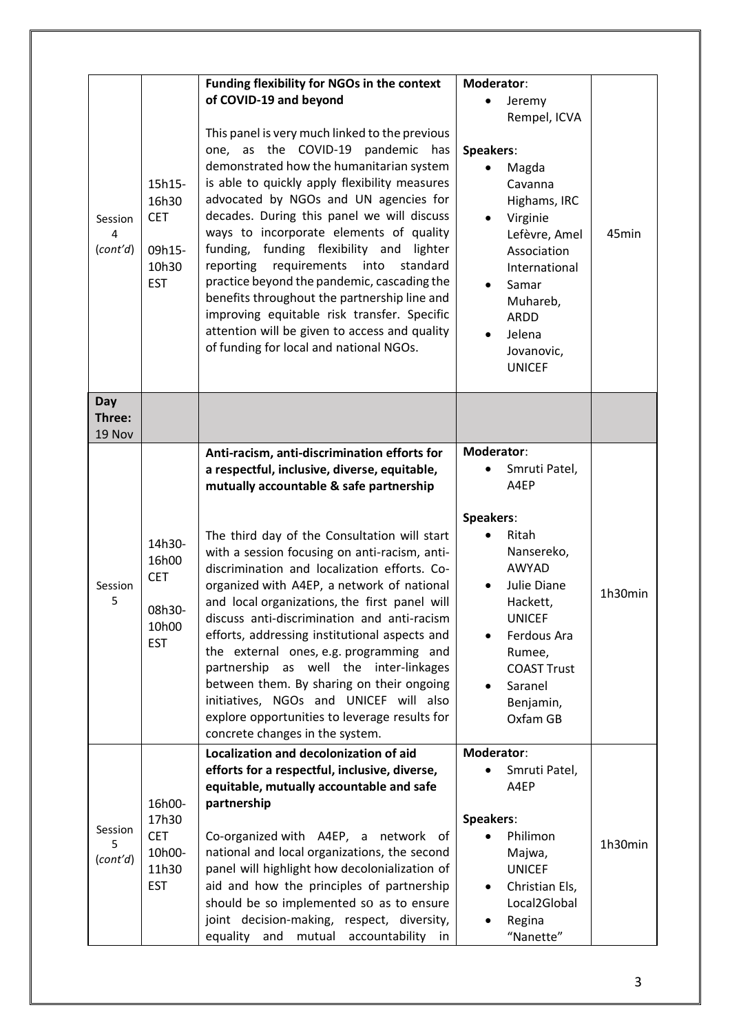| Session<br>4<br>(cont'd) | 15h15-<br>16h30<br><b>CET</b><br>09h15-<br>10h30<br><b>EST</b> | Funding flexibility for NGOs in the context<br>of COVID-19 and beyond<br>This panel is very much linked to the previous<br>one, as the COVID-19 pandemic has<br>demonstrated how the humanitarian system<br>is able to quickly apply flexibility measures<br>advocated by NGOs and UN agencies for<br>decades. During this panel we will discuss<br>ways to incorporate elements of quality<br>funding, funding flexibility and lighter<br>requirements<br>into<br>standard<br>reporting<br>practice beyond the pandemic, cascading the<br>benefits throughout the partnership line and<br>improving equitable risk transfer. Specific<br>attention will be given to access and quality<br>of funding for local and national NGOs.                      | Moderator:<br>Jeremy<br>$\bullet$<br>Rempel, ICVA<br>Speakers:<br>Magda<br>Cavanna<br>Highams, IRC<br>Virginie<br>$\bullet$<br>Lefèvre, Amel<br>Association<br>International<br>Samar<br>$\bullet$<br>Muhareb,<br><b>ARDD</b><br>Jelena<br>$\bullet$<br>Jovanovic,<br><b>UNICEF</b> | 45min   |
|--------------------------|----------------------------------------------------------------|---------------------------------------------------------------------------------------------------------------------------------------------------------------------------------------------------------------------------------------------------------------------------------------------------------------------------------------------------------------------------------------------------------------------------------------------------------------------------------------------------------------------------------------------------------------------------------------------------------------------------------------------------------------------------------------------------------------------------------------------------------|-------------------------------------------------------------------------------------------------------------------------------------------------------------------------------------------------------------------------------------------------------------------------------------|---------|
| Day<br>Three:<br>19 Nov  |                                                                |                                                                                                                                                                                                                                                                                                                                                                                                                                                                                                                                                                                                                                                                                                                                                         |                                                                                                                                                                                                                                                                                     |         |
| Session<br>5             | 14h30-<br>16h00<br><b>CET</b><br>08h30-<br>10h00<br><b>EST</b> | Anti-racism, anti-discrimination efforts for<br>a respectful, inclusive, diverse, equitable,<br>mutually accountable & safe partnership<br>The third day of the Consultation will start<br>with a session focusing on anti-racism, anti-<br>discrimination and localization efforts. Co-<br>organized with A4EP, a network of national<br>and local organizations, the first panel will<br>discuss anti-discrimination and anti-racism<br>efforts, addressing institutional aspects and<br>the external ones, e.g. programming and<br>partnership as well the inter-linkages<br>between them. By sharing on their ongoing<br>initiatives, NGOs and UNICEF will also<br>explore opportunities to leverage results for<br>concrete changes in the system. | Moderator:<br>Smruti Patel,<br>A4EP<br>Speakers:<br>Ritah<br>Nansereko,<br><b>AWYAD</b><br>Julie Diane<br>Hackett,<br><b>UNICEF</b><br>Ferdous Ara<br>Rumee,<br><b>COAST Trust</b><br>Saranel<br>Benjamin,<br>Oxfam GB                                                              | 1h30min |
| Session<br>5<br>(cont'd) | 16h00-<br>17h30<br><b>CET</b><br>10h00-<br>11h30<br><b>EST</b> | Localization and decolonization of aid<br>efforts for a respectful, inclusive, diverse,<br>equitable, mutually accountable and safe<br>partnership<br>Co-organized with A4EP, a network of<br>national and local organizations, the second<br>panel will highlight how decolonialization of<br>aid and how the principles of partnership<br>should be so implemented so as to ensure<br>joint decision-making, respect, diversity,<br>equality<br>and<br>mutual<br>accountability<br>in                                                                                                                                                                                                                                                                 | Moderator:<br>Smruti Patel,<br>A4EP<br>Speakers:<br>Philimon<br>Majwa,<br><b>UNICEF</b><br>Christian Els,<br>$\bullet$<br>Local2Global<br>Regina<br>"Nanette"                                                                                                                       | 1h30min |